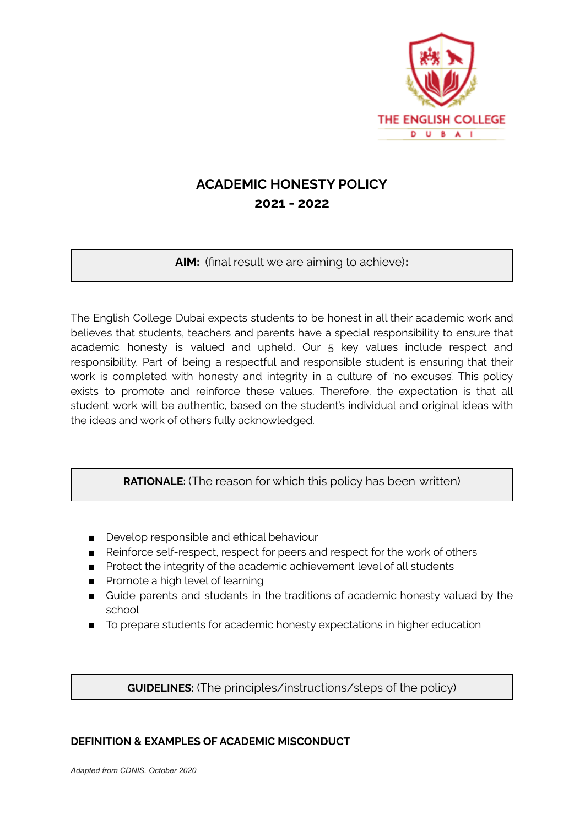

# **ACADEMIC HONESTY POLICY 2021 - 2022**

**AIM:** (final result we are aiming to achieve)**:**

The English College Dubai expects students to be honest in all their academic work and believes that students, teachers and parents have a special responsibility to ensure that academic honesty is valued and upheld. Our 5 key values include respect and responsibility. Part of being a respectful and responsible student is ensuring that their work is completed with honesty and integrity in a culture of 'no excuses'. This policy exists to promote and reinforce these values. Therefore, the expectation is that all student work will be authentic, based on the student's individual and original ideas with the ideas and work of others fully acknowledged.

**RATIONALE:** (The reason for which this policy has been written)

- Develop responsible and ethical behaviour
- Reinforce self-respect, respect for peers and respect for the work of others
- Protect the integrity of the academic achievement level of all students
- Promote a high level of learning
- Guide parents and students in the traditions of academic honesty valued by the school
- To prepare students for academic honesty expectations in higher education

**GUIDELINES:** (The principles/instructions/steps of the policy)

### **DEFINITION & EXAMPLES OF ACADEMIC MISCONDUCT**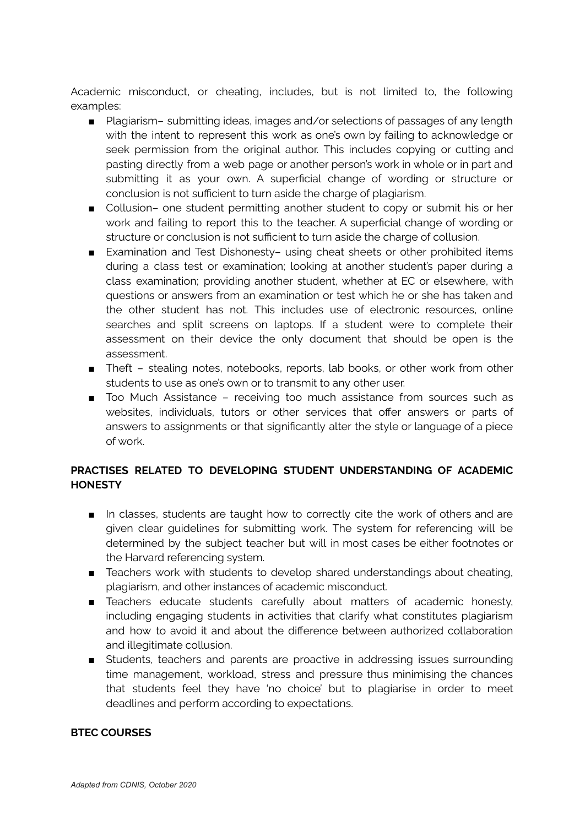Academic misconduct, or cheating, includes, but is not limited to, the following examples:

- Plagiarism- submitting ideas, images and/or selections of passages of any length with the intent to represent this work as one's own by failing to acknowledge or seek permission from the original author. This includes copying or cutting and pasting directly from a web page or another person's work in whole or in part and submitting it as your own. A superficial change of wording or structure or conclusion is not sufficient to turn aside the charge of plagiarism.
- Collusion- one student permitting another student to copy or submit his or her work and failing to report this to the teacher. A superficial change of wording or structure or conclusion is not sufficient to turn aside the charge of collusion.
- Examination and Test Dishonesty- using cheat sheets or other prohibited items during a class test or examination; looking at another student's paper during a class examination; providing another student, whether at EC or elsewhere, with questions or answers from an examination or test which he or she has taken and the other student has not. This includes use of electronic resources, online searches and split screens on laptops. If a student were to complete their assessment on their device the only document that should be open is the assessment.
- Theft stealing notes, notebooks, reports, lab books, or other work from other students to use as one's own or to transmit to any other user.
- Too Much Assistance receiving too much assistance from sources such as websites, individuals, tutors or other services that offer answers or parts of answers to assignments or that significantly alter the style or language of a piece of work.

## **PRACTISES RELATED TO DEVELOPING STUDENT UNDERSTANDING OF ACADEMIC HONESTY**

- In classes, students are taught how to correctly cite the work of others and are given clear guidelines for submitting work. The system for referencing will be determined by the subject teacher but will in most cases be either footnotes or the Harvard referencing system.
- Teachers work with students to develop shared understandings about cheating, plagiarism, and other instances of academic misconduct.
- Teachers educate students carefully about matters of academic honesty, including engaging students in activities that clarify what constitutes plagiarism and how to avoid it and about the difference between authorized collaboration and illegitimate collusion.
- Students, teachers and parents are proactive in addressing issues surrounding time management, workload, stress and pressure thus minimising the chances that students feel they have 'no choice' but to plagiarise in order to meet deadlines and perform according to expectations.

#### **BTEC COURSES**